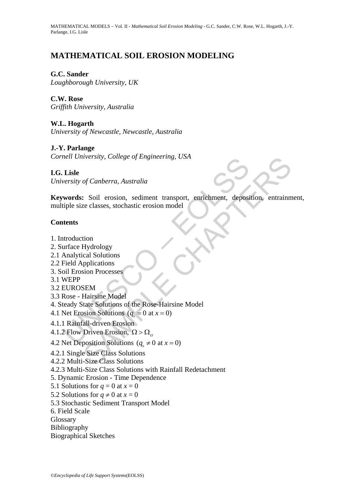# **MATHEMATICAL SOIL EROSION MODELING**

#### **G.C. Sander**

*Loughborough University, UK* 

## **C.W. Rose**

*Griffith University, Australia* 

### **W.L. Hogarth**

*University of Newcastle, Newcastle, Australia* 

#### **J.-Y. Parlange**

*Cornell University, College of Engineering, USA* 

#### **I.G. Lisle**

*University of Canberra, Australia* 

Heat University, College of Engineering, USA<br>
Lisle<br>
versity of Canberra, Australia<br>
words: Soil erosion, sediment transport, enrichment, deposi<br>
tiple size classes, stochastic erosion model<br>
tents<br>
tents<br>
tents<br>
tents<br>
t Werstry, College of Engimeering, USA<br>
of Canberra, Australia<br>
se classes, stochastic erosion model<br>
Electroscopic classes, stochastic erosion model<br>
Hydrology<br>
pplications<br>
splications<br>
SEM<br>
Hairsine Model<br>
SEM<br>
Hairsine **Keywords:** Soil erosion, sediment transport, enrichment, deposition, entrainment, multiple size classes, stochastic erosion model

#### **Contents**

- 1. Introduction
- 2. Surface Hydrology
- 2.1 Analytical Solutions
- 2.2 Field Applications
- 3. Soil Erosion Processes
- 3.1 WEPP
- 3.2 EUROSEM
- 3.3 Rose Hairsine Model
- 4. Steady State Solutions of the Rose-Hairsine Model
- 4.1 Net Erosion Solutions  $(q_s = 0 \text{ at } x = 0)$
- 4.1.1 Rainfall-driven Erosion
- 4.1.2 Flow Driven Erosion,  $\Omega > \Omega_{cr}$
- 4.2 Net Deposition Solutions ( $q_s \neq 0$  at  $x = 0$ )
- 4.2.1 Single Size Class Solutions
- 4.2.2 Multi-Size Class Solutions
- 4.2.3 Multi-Size Class Solutions with Rainfall Redetachment
- 5. Dynamic Erosion Time Dependence
- 5.1 Solutions for  $q = 0$  at  $x = 0$
- 5.2 Solutions for  $q \neq 0$  at  $x = 0$
- 5.3 Stochastic Sediment Transport Model
- 6. Field Scale
- **Glossary**
- Bibliography
- Biographical Sketches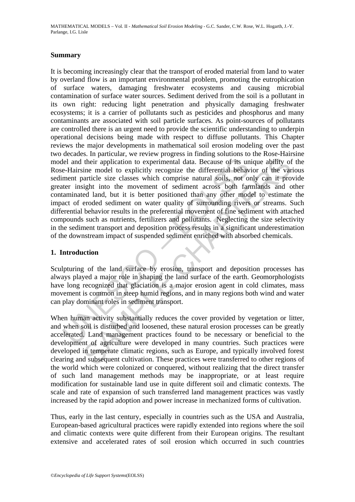#### **Summary**

lel and their application to experimental data. Because of its une-Hairsine model to explicitly recognize the differential behavement particle size classes which comprise natural soils, not oiter insight into the movement their application to experimental data. Because of its unique ability of their application to experimental data. Because of its unique ability of this unit encoated size classes which comprise natural soils, not only can i It is becoming increasingly clear that the transport of eroded material from land to water by overland flow is an important environmental problem, promoting the eutrophication of surface waters, damaging freshwater ecosystems and causing microbial contamination of surface water sources. Sediment derived from the soil is a pollutant in its own right: reducing light penetration and physically damaging freshwater ecosystems; it is a carrier of pollutants such as pesticides and phosphorus and many contaminants are associated with soil particle surfaces. As point-sources of pollutants are controlled there is an urgent need to provide the scientific understanding to underpin operational decisions being made with respect to diffuse pollutants. This Chapter reviews the major developments in mathematical soil erosion modeling over the past two decades. In particular, we review progress in finding solutions to the Rose-Hairsine model and their application to experimental data. Because of its unique ability of the Rose-Hairsine model to explicitly recognize the differential behavior of the various sediment particle size classes which comprise natural soils, not only can it provide greater insight into the movement of sediment across both farmlands and other contaminated land, but it is better positioned than any other model to estimate the impact of eroded sediment on water quality of surrounding rivers or streams. Such differential behavior results in the preferential movement of fine sediment with attached compounds such as nutrients, fertilizers and pollutants. Neglecting the size selectivity in the sediment transport and deposition process results in a significant underestimation of the downstream impact of suspended sediment enriched with absorbed chemicals.

#### **1. Introduction**

Sculpturing of the land surface by erosion, transport and deposition processes has always played a major role in shaping the land surface of the earth. Geomorphologists have long recognized that glaciation is a major erosion agent in cold climates, mass movement is common in steep humid regions, and in many regions both wind and water can play dominant roles in sediment transport.

When human activity substantially reduces the cover provided by vegetation or litter, and when soil is disturbed and loosened, these natural erosion processes can be greatly accelerated. Land management practices found to be necessary or beneficial to the development of agriculture were developed in many countries. Such practices were developed in temperate climatic regions, such as Europe, and typically involved forest clearing and subsequent cultivation. These practices were transferred to other regions of the world which were colonized or conquered, without realizing that the direct transfer of such land management methods may be inappropriate, or at least require modification for sustainable land use in quite different soil and climatic contexts. The scale and rate of expansion of such transferred land management practices was vastly increased by the rapid adoption and power increase in mechanized forms of cultivation.

Thus, early in the last century, especially in countries such as the USA and Australia, European-based agricultural practices were rapidly extended into regions where the soil and climatic contexts were quite different from their European origins. The resultant extensive and accelerated rates of soil erosion which occurred in such countries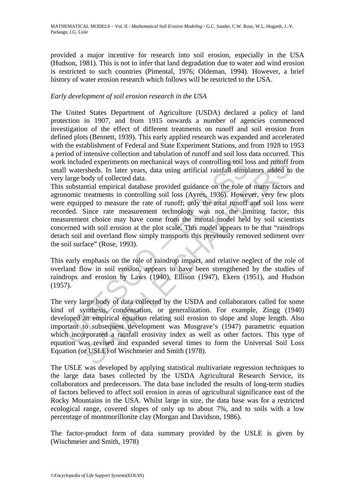provided a major incentive for research into soil erosion, especially in the USA (Hudson, 1981). This is not to infer that land degradation due to water and wind erosion is restricted to such countries (Pimental, 1976; Oldeman, 1994). However, a brief history of water erosion research which follows will be restricted to the USA.

### *Early development of soil erosion research in the USA*

The United States Department of Agriculture (USDA) declared a policy of land protection in 1907, and from 1915 onwards a number of agencies commenced investigation of the effect of different treatments on runoff and soil erosion from defined plots (Bennett, 1939). This early applied research was expanded and accelerated with the establishment of Federal and State Experiment Stations, and from 1928 to 1953 a period of intensive collection and tabulation of runoff and soil loss data occurred. This work included experiments on mechanical ways of controlling soil loss and runoff from small watersheds. In later years, data using artificial rainfall simulators added to the very large body of collected data.

k included experiments on mechanical ways of controlling soil lo<br>ll watersheds. In later years, data using artificial rainfall simul<br>large body of collected data.<br>substantial empirical database provided guidance on the rol ded experiments on mechanical ways of controlling soil loss and runoff frached experiments on mechanical ways of controlling soil loss and runoff frached data.<br>
In later years, data using artificial rainfall simulators add This substantial empirical database provided guidance on the role of many factors and agronomic treatments in controlling soil loss (Ayres, 1936). However, very few plots were equipped to measure the rate of runoff; only the total runoff and soil loss were recorded. Since rate measurement technology was not the limiting factor, this measurement choice may have come from the mental model held by soil scientists concerned with soil erosion at the plot scale. This model appears to be that "raindrops detach soil and overland flow simply transports this previously removed sediment over the soil surface" (Rose, 1993).

This early emphasis on the role of raindrop impact, and relative neglect of the role of overland flow in soil erosion, appears to have been strengthened by the studies of raindrops and erosion by Laws (1940), Ellison (1947), Ekern (1951), and Hudson (1957).

The very large body of data collected by the USDA and collaborators called for some kind of synthesis, condensation, or generalization. For example, Zingg (1940) developed an empirical equation relating soil erosion to slope and slope length. Also important to subsequent development was Musgrave's (1947) parametric equation which incorporated a rainfall erosivity index as well as other factors. This type of equation was revised and expanded several times to form the Universal Soil Loss Equation (or USLE) of Wischmeier and Smith (1978).

The USLE was developed by applying statistical multivariate regression techniques to the large data bases collected by the USDA Agricultural Research Service, its collaborators and predecessors. The data base included the results of long-term studies of factors believed to affect soil erosion in areas of agricultural significance east of the Rocky Mountains in the USA. Whilst large in size, the data base was for a restricted ecological range, covered slopes of only up to about 7%, and to soils with a low percentage of montmorillonite clay (Morgan and Davidson, 1986).

The factor-product form of data summary provided by the USLE is given by (Wischmeier and Smith, 1978)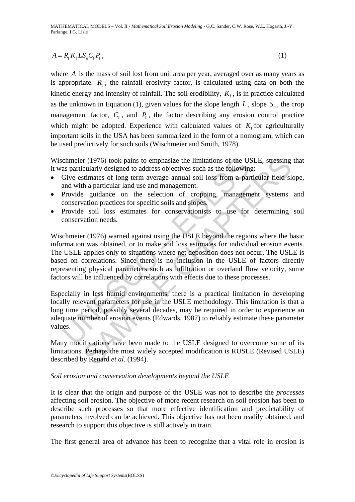$$
A = R_{\rm f} K_{\rm f} L S_{\rm o} C_{\rm f} P_{\rm f},\tag{1}
$$

where *A* is the mass of soil lost from unit area per year, averaged over as many years as is appropriate.  $R_f$ , the rainfall erosivity factor, is calculated using data on both the kinetic energy and intensity of rainfall. The soil erodibility,  $K_f$ , is in practice calculated as the unknown in Equation (1), given values for the slope length  $L$ , slope  $S_0$ , the crop management factor,  $C_f$ , and  $P_f$ , the factor describing any erosion control practice which might be adopted. Experience with calculated values of  $K<sub>f</sub>$  for agriculturally important soils in the USA has been summarized in the form of a nomogram, which can be used predictively for such soils (Wischmeier and Smith, 1978).

Wischmeier (1976) took pains to emphasize the limitations of the USLE, stressing that it was particularly designed to address objectives such as the following:

- Give estimates of long-term average annual soil loss from a particular field slope, and with a particular land use and management.
- Provide guidance on the selection of cropping, management systems and conservation practices for specific soils and slopes.
- Provide soil loss estimates for conservationists to use for determining soil conservation needs.

chmeier (1976) took pains to emphasize the limitations of the U:<br>as particularly designed to address objectives such as the followin<br>Give estimates of long-term average annual soil loss from a par<br>and with a particular lan er (1976) took pains to emphasize the limitations of the USLE, stressing<br>cularly designed to address objectives such as the following:<br>timates of long-term average amual soil loss from a particular field sl<br>h a particular Wischmeier (1976) warned against using the USLE beyond the regions where the basic information was obtained, or to make soil loss estimates for individual erosion events. The USLE applies only to situations where net deposition does not occur. The USLE is based on correlations. Since there is no inclusion in the USLE of factors directly representing physical parameters such as infiltration or overland flow velocity, some factors will be influenced by correlations with effects due to these processes.

Especially in less humid environments, there is a practical limitation in developing locally relevant parameters for use in the USLE methodology. This limitation is that a long time period, possibly several decades, may be required in order to experience an adequate number of erosion events (Edwards, 1987) to reliably estimate these parameter values.

Many modifications have been made to the USLE designed to overcome some of its limitations. Perhaps the most widely accepted modification is RUSLE (Revised USLE) described by Renard *et al.* (1994).

#### *Soil erosion and conservation developments beyond the USLE*

It is clear that the origin and purpose of the USLE was not to describe the *processes* affecting soil erosion. The objective of more recent research on soil erosion has been to describe such processes so that more effective identification and predictability of parameters involved can be achieved. This objective has not been readily obtained, and research to support this objective is still actively in train.

The first general area of advance has been to recognize that a vital role in erosion is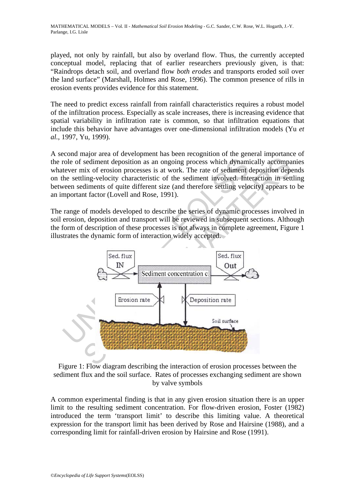played, not only by rainfall, but also by overland flow. Thus, the currently accepted conceptual model, replacing that of earlier researchers previously given, is that: "Raindrops detach soil, and overland flow *both erodes* and transports eroded soil over the land surface" (Marshall, Holmes and Rose, 1996). The common presence of rills in erosion events provides evidence for this statement.

The need to predict excess rainfall from rainfall characteristics requires a robust model of the infiltration process. Especially as scale increases, there is increasing evidence that spatial variability in infiltration rate is common, so that infiltration equations that include this behavior have advantages over one-dimensional infiltration models (Yu *et al.*, 1997, Yu, 1999).

A second major area of development has been recognition of the general importance of the role of sediment deposition as an ongoing process which dynamically accompanies whatever mix of erosion processes is at work. The rate of sediment deposition depends on the settling-velocity characteristic of the sediment involved. Interaction in settling between sediments of quite different size (and therefore settling velocity) appears to be an important factor (Lovell and Rose, 1991).

The range of models developed to describe the series of dynamic processes involved in soil erosion, deposition and transport will be reviewed in subsequent sections. Although the form of description of these processes is not always in complete agreement, Figure 1 illustrates the dynamic form of interaction widely accepted.



Figure 1: Flow diagram describing the interaction of erosion processes between the sediment flux and the soil surface. Rates of processes exchanging sediment are shown by valve symbols

A common experimental finding is that in any given erosion situation there is an upper limit to the resulting sediment concentration. For flow-driven erosion, Foster (1982) introduced the term 'transport limit' to describe this limiting value. A theoretical expression for the transport limit has been derived by Rose and Hairsine (1988), and a corresponding limit for rainfall-driven erosion by Hairsine and Rose (1991).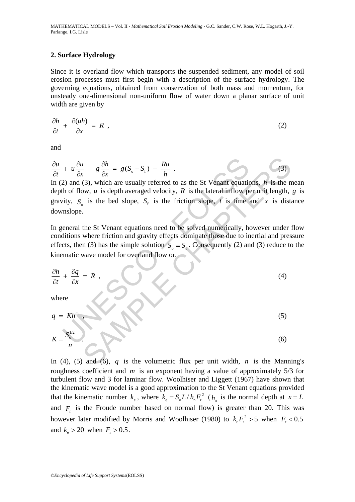#### **2. Surface Hydrology**

Since it is overland flow which transports the suspended sediment, any model of soil erosion processes must first begin with a description of the surface hydrology. The governing equations, obtained from conservation of both mass and momentum, for unsteady one-dimensional non-uniform flow of water down a planar surface of unit width are given by

$$
\frac{\partial h}{\partial t} + \frac{\partial (uh)}{\partial x} = R \t , \t\t(2)
$$

and

$$
\frac{\partial u}{\partial t} + u \frac{\partial u}{\partial x} + g \frac{\partial h}{\partial x} = g(S_o - S_f) - \frac{Ru}{h} \tag{3}
$$

+  $u \frac{\partial u}{\partial x} + g \frac{\partial h}{\partial x} = g(S_o - S_f) - \frac{Ru}{h}$ <br>
2) and (3), which are usually referred to as the St Venant equation<br>
th of flow, u is depth averaged velocity, R is the lateral inflow pointy, S<sub>o</sub> is the bed slope, S<sub>f</sub> is th  $\frac{e}{c} + g \frac{\partial h}{\partial x} = g(S_o - S_f) - \frac{Ru}{h}$ . (3)<br>
(3), which are usually referred to as the St Venant equations, h is the n<br>
w, u is depth averaged velocity, R is the lateral inflow per unit length,<br>
is the bed slope, S<sub>t</sub> is t In (2) and (3), which are usually referred to as the St Venant equations, *h* is the mean depth of flow, *u* is depth averaged velocity, *R* is the lateral inflow per unit length, *g* is gravity,  $S_0$  is the bed slope,  $S_f$  is the friction slope, *t* is time and *x* is distance downslope.

In general the St Venant equations need to be solved numerically, however under flow conditions where friction and gravity effects dominate those due to inertial and pressure effects, then (3) has the simple solution  $S_0 = S_f$ . Consequently (2) and (3) reduce to the kinematic wave model for overland flow or,

$$
\frac{\partial h}{\partial t} + \frac{\partial q}{\partial x} = R \tag{4}
$$

where

$$
q = Kh^m
$$
\n
$$
K = \frac{S_0^{1/2}}{n}
$$
\n(5)

In (4), (5) and (6), q is the volumetric flux per unit width, n is the Manning's roughness coefficient and m is an exponent having a value of approximately 5/3 for turbulent flow and 3 for laminar flow. Woolhiser and Liggett (1967) have shown that the kinematic wave model is a good approximation to the St Venant equations provided that the kinematic number 
$$
k_{\rm e}
$$
, where  $k_{\rm e} = S_0 L / h_{\rm n} F_{\rm r}^2$  ( $h_{\rm n}$  is the normal depth at  $x = L$  and  $F_{\rm r}$  is the Froude number based on normal flow) is greater than 20. This was however later modified by Morris and Woolhiser (1980) to  $k_{\rm e} F_{\rm r}^2 > 5$  when  $F_{\rm r} < 0.5$  and  $k_{\rm e} > 20$  when  $F_{\rm r} > 0.5$ .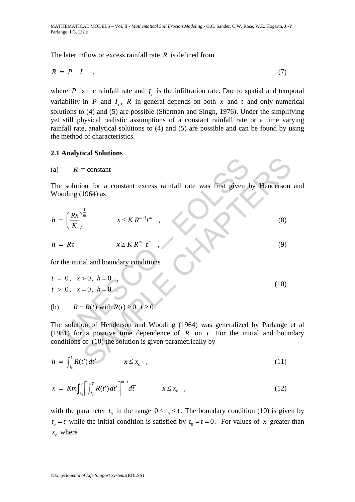The later inflow or excess rainfall rate *R* is defined from

$$
R = P - I_r \tag{7}
$$

where  $P$  is the rainfall rate and  $I<sub>r</sub>$  is the infiltration rate. Due to spatial and temporal variability in *P* and  $I_r$ , *R* in general depends on both *x* and *t* and only numerical solutions to (4) and (5) are possible (Sherman and Singh, 1976). Under the simplifying yet still physical realistic assumptions of a constant rainfall rate or a time varying rainfall rate, analytical solutions to (4) and (5) are possible and can be found by using the method of characteristics.

#### **2.1 Analytical Solutions**

(a) 
$$
R = \text{constant}
$$

The solution for a constant excess rainfall rate was first given by Henderson and Wooding (1964) as

$$
h = \left(\frac{Rx}{K}\right)^{\frac{1}{m}} \qquad x \le K R^{m-1} t^m \qquad (8)
$$

$$
h = Rt \qquad x \geq K R^{m-1} t^m \qquad (9)
$$

for the initial and boundary conditions

$$
t = 0, \quad x > 0, \quad h = 0
$$
  
\n
$$
t > 0, \quad x = 0, \quad h = 0
$$
 (10)

(b) 
$$
R = R(t)
$$
 with  $R(t) \ge 0, t \ge 0$ .

R = constant<br>
solution for a constant excess rainfall rate was first given by<br>
dding (1964) as<br>  $\left(\frac{Rx}{K}\right)^{\frac{1}{m}}$   $x \leq K R^{m-1}t^m$ ,<br>  $x \geq K R^{m-1}t^m$ ,<br>
the initial and boundary conditions<br>
0,  $x > 0$ ,  $h = 0$ ,<br>
0,  $x = 0$ = constant<br>
on for a constant excess rainfall rate was first given by Henderson<br>
1964) as<br>  $x \leq K R^{m-1}t^m$ ,<br>  $x \leq K R^{m-1}t^m$ ,<br>
(3)<br>
(3)<br>
all and boundary conditions<br>  $> 0, h = 0$ .<br>
(10)<br>  $= R(t)$  with  $R(t) \ge 0, t \ge 0$ .<br>
And The solution of Henderson and Wooding (1964) was generalized by Parlange et al (1981) for a positive time dependence of  $R$  on  $t$ . For the initial and boundary conditions of (10) the solution is given parametrically by

$$
h = \int_{t_0}^t R(t') dt' \qquad x \le x_c \quad , \tag{11}
$$

$$
x = Km \int_{t_0}^t \left[ \int_{t_0}^{\overline{t}} R(t') dt' \right]^{m-1} d\overline{t} \qquad x \le x_c \quad , \tag{12}
$$

with the parameter  $t_0$  in the range  $0 \le t_0 \le t$ . The boundary condition (10) is given by  $t_0 = t$  while the initial condition is satisfied by  $t_0 = t = 0$ . For values of x greater than  $x_c$  where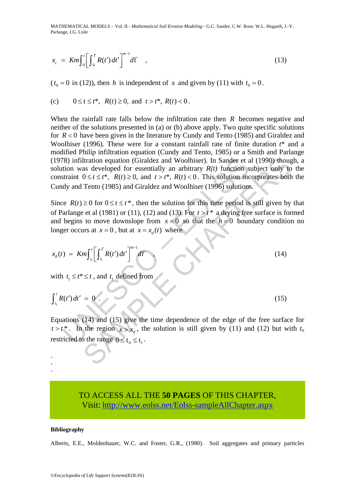$$
x_{\rm c} = Km \int_0^t \left[ \int_0^{\bar{t}} R(t') dt' \right]^{m-1} d\bar{t} \quad , \tag{13}
$$

 $(t_0 = 0$  in (12)), then *h* is independent of *x* and given by (11) with  $t_0 = 0$ .

(c) 
$$
0 \le t \le t^*
$$
,  $R(t) \ge 0$ , and  $t > t^*$ ,  $R(t) < 0$ .

Itration equation (Giraldez and Woolhiser). In Sander et al (1990) thought<br>as developed for essentially an arbitrary  $R(t)$  function subject only to<br>  $0 \le t \le t^*$ ,  $R(t) \ge 0$ , and  $t > t^*$ ,  $R(t) < 0$ . This solution incorporate When the rainfall rate falls below the infiltration rate then *R* becomes negative and neither of the solutions presented in (a) or (b) above apply. Two quite specific solutions for *R* < 0 have been given in the literature by Cundy and Tento (1985) and Giraldez and Woolhiser (1996). These were for a constant rainfall rate of finite duration *t*\* and a modified Philip infiltration equation (Cundy and Tento, 1985) or a Smith and Parlange (1978) infiltration equation (Giraldez and Woolhiser). In Sander et al (1990) though, a solution was developed for essentially an arbitrary  $R(t)$  function subject only to the constraint  $0 \le t \le t^*$ ,  $R(t) \ge 0$ , and  $t > t^*$ ,  $R(t) < 0$ . This solution incorporates both the Cundy and Tento (1985) and Giraldez and Woolhiser (1996) solutions.

78) infiltration equation (Giraldez and Woolhiser). In Sander et at<br>
tion was developed for essentially an arbitrary  $R(t)$  function s<br>
straint  $0 \le t \le t^*$ ,  $R(t) \ge 0$ , and  $t > t^*$ ,  $R(t) < 0$ . This solution inc<br>
dy and Tento Since  $R(t) \ge 0$  for  $0 \le t \le t^*$ , then the solution for this time period is still given by that of Parlange et al (1981) or (11), (12) and (13). For  $t > t^*$  a drying free surface is formed and begins to move downslope from  $x = 0$  so that the  $h = 0$  boundary condition no longer occurs at  $x = 0$ , but at  $x = x_d(t)$  where

$$
x_{d}(t) = Km \int_{t_{1}}^{t} \left[ \int_{t_{1}}^{T} R(t') dt' \right]^{m-1} d\tau
$$
 (14)

with  $t_1 \leq t^* \leq t$ , and  $t_1$  defined from

$$
\int_{t_1}^t R(t') dt' = 0. \tag{15}
$$

Equations (14) and (15) give the time dependence of the edge of the free surface for  $t > t^*$ . In the region  $x > x_d$ , the solution is still given by (11) and (12) but with  $t_o$ restricted to the range  $0 \le t_0 \le t_1$ .

# TO ACCESS ALL THE **50 PAGES** OF THIS CHAPTER, Visit[: http://www.eolss.net/Eolss-sampleAllChapter.aspx](https://www.eolss.net/ebooklib/sc_cart.aspx?File=E6-03B-05-05)

#### **Bibliography**

- - -

Alberts, E.E., Moldenhauer, W.C. and Foster, G.R., (1980). Soil aggregates and primary particles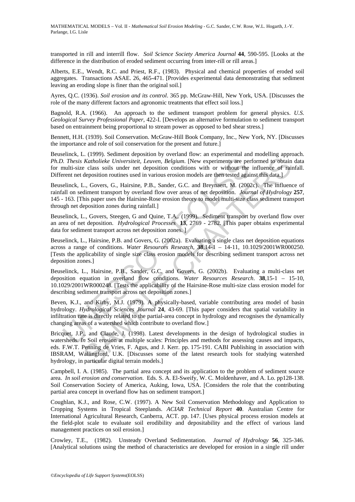transported in rill and interrill flow. *Soil Science Society America Journal* **44**, 590-595. [Looks at the difference in the distribution of eroded sediment occurring from inter-rill or rill areas.]

Alberts, E.E., Wendt, R.C. and Priest, R.F., (1983). Physical and chemical properties of eroded soil aggregates. Transactions ASAE. 26, 465-471. [Provides experimental data demonstrating that sediment leaving an eroding slope is finer than the original soil.]

Ayres, Q.C. (1936). *Soil erosion and its control*. 365 pp. McGraw-Hill, New York, USA. [Discusses the role of the many different factors and agronomic treatments that effect soil loss.]

Bagnold, R.A. (1966). An approach to the sediment transport problem for general physics. *U.S. Geological Survey Professional Paper*, 422-I. [Develops an alternative formulation to sediment transport based on entrainment being proportional to stream power as opposed to bed shear stress.]

Bennett, H.H. (1939). Soil Conservation. McGraw-Hill Book Company, Inc., New York, NY. [Discusses the importance and role of soil conservation for the present and future.]

Beuselinck, L. (1999). Sediment deposition by overland flow: an experimental and modelling approach. *Ph.D. Thesis Katholieke Universiteit, Leuven, Belgium*. [New experiments are performed to obtain data for multi-size class soils under net deposition conditions with or without the influence of rainfall. Different net deposition routines used in various erosion models are then tested against this data.]

Beuselinck, L., Govers, G., Hairsine, P.B., Sander, G.C. and Breynaert, M. (2002c). The influence of rainfall on sediment transport by overland flow over areas of net deposition. *Journal of Hydrology* **257**, 145 - 163. [This paper uses the Hairsine-Rose erosion theory to model multi-size class sediment transport through net deposition zones during rainfall.]

Beuselinck, L., Govers, Steegen, G and Quine, T.A,. (1999). Sediment transport by overland flow over an area of net deposition. *Hydrological Processes* **13**, 2769 - 2782. [This paper obtains experimental data for sediment transport across net deposition zones.

Beuselinck, L., Hairsine, P.B. and Govers, G. (2002a). Evaluating a single class net deposition equations across a range of conditions. *Water Resources Research*, **38**,14-1 – 14-11, 10.1029/2001WR000250. [Tests the applicability of single size class erosion models for describing sediment transport across net deposition zones.]

Beuselinck, L., Hairsine, P.B., Sander, G.C. and Govers, G. (2002b). Evaluating a multi-class net deposition equation in overland flow conditions. *Water Resources Research*. **38**,15-1 – 15-10, 10.1029/2001WR000248. [Tests the applicability of the Hairsine-Rose multi-size class erosion model for describing sediment transport across net deposition zones.]

0. Thesis Katholieke Universiteit, Leuven, Belgium. [New experiments are penulti-size class soils under net deposition conditions with or without the<br>rent net deposition routines used in various resoion models are then te Beven, K.J., and Kirby, M.J. (1979). A physically-based, variable contributing area model of basin hydrology. *Hydrological Sciences Journal* **24**, 43-69. [This paper considers that spatial variability in infiltration rate is directly related to the partial-area concept in hydrology and recognises the dynamically changing areas of a watershed which contribute to overland flow.]

Consider the paramola process of consideration of the Rain and the map and Katholieke Universiteit, Leuven, Belgium. [New experiments are performed to obtain deposition or the microsconsor and those with or without the in Bricquet, J.P., and Claude, J. (1998). Latest developments in the design of hydrological studies in watersheds. *In* Soil erosion at multiple scales: Principles and methods for assessing causes and impacts, eds. F.W.T. Penning de Vries, F. Agus, and J. Kerr. pp. 175-191. CABI Publishing in association with IBSRAM, Wallingford, U.K. [Discusses some of the latest research tools for studying watershed hydrology, in particular digital terrain models.]

Campbell, I. A. (1985). The partial area concept and its application to the problem of sediment source area. *In soil erosion and conservation*. Eds. S. A. El-Sweify, W. C. Moldenhaver, and A. Lo. pp128-138. Soil Conservation Society of America, Auking, Iowa, USA. [Considers the role that the contributing partial area concept in overland flow has on sediment transport.]

Coughlan, K.J., and Rose, C.W. (1997). A New Soil Conservation Methodology and Application to Cropping Systems in Tropical Steeplands. *ACIAR Technical Report* **40**. Australian Centre for International Agricultural Research, Canberra, ACT. pp. 147. [Uses physical process erosion models at the field-plot scale to evaluate soil erodibility and depositability and the effect of various land management practices on soil erosion.]

Crowley, T.E., (1982). Unsteady Overland Sedimentation. *Journal of Hydrology* **56**, 325-346. [Analytical solutions using the method of characteristics are developed for erosion in a single rill under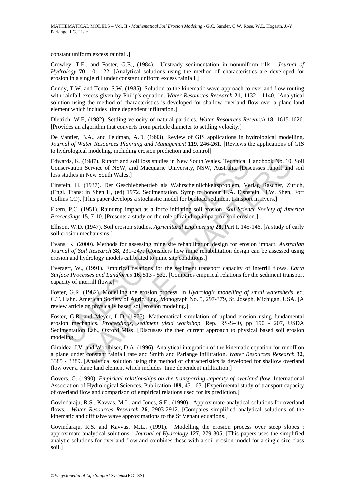constant uniform excess rainfall.]

Crowley, T.E., and Foster, G.E., (1984). Unsteady sedimentation in nonuniform rills. *Journal of Hydrology* **70**, 101-122. [Analytical solutions using the method of characteristics are developed for erosion in a single rill under constant uniform excess rainfall.]

Cundy, T.W. and Tento, S.W. (1985). Solution to the kinematic wave approach to overland flow routing with rainfall excess given by Philip's equation. *Water Resources Research* **21**, 1132 - 1140. [Analytical solution using the method of characteristics is developed for shallow overland flow over a plane land element which includes time dependent infiltration.]

Dietrich, W.E, (1982). Settling velocity of natural particles. *Water Resources Research* **18**, 1615-1626. [Provides an algorithm that converts from particle diameter to settling velocity.]

De Vantier, B.A., and Feldman, A.D. (1993). Review of GIS applications in hydrological modelling. *Journal of Water Resources Planning and Management* **119**, 246-261. [Reviews the applications of GIS to hydrological modeling, including erosion prediction and control]

Edwards, K. (1987). Runoff and soil loss studies in New South Wales. Technical Handbook No. 10. Soil Conservation Service of NSW, and Macquarie University, NSW, Australia. [Discusses runoff and soil loss studies in New South Wales.]

Einstein, H. (1937). Der Geschiebebetrieb als Wahrscheinlichkeitsproblem, Verlag Rascher, Zurich, (Engl. Trans: in Shen H, (ed) 1972. Sedimentation. Symp to honour H.A. Eisnstein. H.W. Shen, Fort Collins CO). [This paper develops a stochastic model for bedload sediment transport in rivers.]

Ekern, P.C. (1951). Raindrop impact as a force initiating soil erosion. *Soil Science Society of America Proceedings* **15**, 7-10. [Presents a study on the role of raindrop impact on soil erosion.]

Ellison, W.D. (1947). Soil erosion studies. *Agricultural Engineering* **28**, Part I, 145-146. [A study of early soil erosion mechanisms.]

Evans, K. (2000). Methods for assessing mine site rehabilitation design for erosion impact. *Australian Journal of Soil Research* **38**, 231-247. [Considers how mine rehabilitation design can be assessed using erosion and hydrology models calibrated to mine site conditions.]

Everaert, W., (1991). Empirical relations for the sediment transport capacity of interrill flows. *Earth Surface Processes and Landforms* **16**, 513 - 532. [Compares empirical relations for the sediment transport capacity of interrill flows.]

Foster, G.R. (1982). Modelling the erosion process. In *Hydrologic modelling of small watersheds*, ed. C.T. Hahn. American Society of Agric. Eng. Monograph No. 5, 297-379, St. Joseph, Michigan, USA. [A review article on physically based soil erosion modeling.]

ards, K. (1987). Runoff and soil loss studies in New South Wales. Technical retrvation Service of NSW, and Macquarie University, NSW, Australia, [Distudies in New South Wales.]<br>
Studies in New South Wales.]<br>
Eticin, H. (19 (1987). Runoff and soil loss studies in New South Wales. Technical Handbook No. 10.<br>
Service of NSW, and Macquarie University, NSW, Australia. [Discusses runoff and<br>
New South Wales.]<br>
(1937). Der Geschiebebetrich als Wah Foster, G.R. and Meyer, L.D. (1975). Mathematical simulation of upland erosion using fundamental erosion mechanics. *Proceedings, sediment yield workshop,* Rep. RS-S-40, pp 190 - 207, USDA Sedimentation Lab., Oxford Miss. [Discusses the then current approach to physical based soil erosion modeling.]

Giraldez, J.V. and Woolhiser, D.A. (1996). Analytical integration of the kinematic equation for runoff on a plane under constant rainfall rate and Smith and Parlange infiltration. *Water Resources Research* **32**, 3385 - 3389. [Analytical solution using the method of characteristics is developed for shallow overland flow over a plane land element which includes time dependent infiltration.]

Govers, G. (1990). *Empirical relationships on the transporting capacity of overland flow*, International Association of Hydrological Sciences, Publication **189**, 45 - 63. [Experimental study of transport capacity of overland flow and comparison of empirical relations used for its prediction.]

Govindaraju, R.S., Kavvas, M.L. and Jones, S.E., (1990). Approximate analytical solutions for overland flows. *Water Resources Research* **26**, 2903-2912. [Compares simplified analytical solutions of the kinematic and diffusive wave approximations to the St Venant equations.]

Govindaraju, R.S. and Kavvas, M.L., (1991). Modelling the erosion process over steep slopes : approximate analytical solutions. *Journal of Hydrology* **127**, 279-305. [This papers uses the simplified analytic solutions for overland flow and combines these with a soil erosion model for a single size class soil.]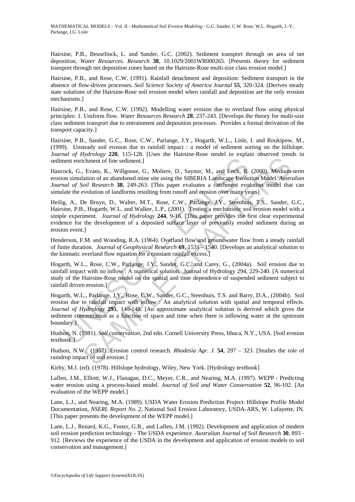Hairsine, P.B., Beuselinck, L. and Sander, G.C. (2002). Sediment transport through on area of net deposition, *Water Resources. Research* **38**, 10.1029/2001WR000265. [Presents theory for sediment transport through net deposition zones based on the Hairsine-Rose multi-size class erosion model.]

Hairsine, P.B., and Rose, C.W. (1991). Rainfall detachment and deposition: Sediment transport in the absence of flow-driven processes. *Soil Science Society of America Journal* **55**, 320-324. [Derives steady state solutions of the Hairsine-Rose soil erosion model when rainfall and deposition are the only erosion mechanisms.]

Hairsine, P.B., and Rose, C.W. (1992). Modelling water erosion due to overland flow using physical principles: 1. Uniform flow. *Water Resources Research* **28**, 237-243. [Develops the theory for multi-size class sediment transport due to entrainment and deposition processes. Provides a formal derivation of the transport capacity.]

Hairsine, P.B., Sander, G.C., Rose, C.W., Parlange, J.Y., Hogarth, W.L., Lisle, I. and Roukipow, M., (1999). Unsteady soil erosion due to rainfall impact : a model of sediment sorting on the hillslope. *Journal of Hydrology* **220**, 115-128. [Uses the Hairsine-Rose model to explain observed trends in sediment enrichment of fine sediment.]

Hancock, G., Evans, K., Willgoose, G., Moliere, D., Saynor, M., and Loch, R. (2000). Medium-term erosion simulation of an abandoned mine site using the SIBERIA Landscape Evolution Model. *Australian Journal of Soil Research* **38**, 249-263. [This paper evaluates a catchment evolution model that can simulate the evolution of landforms resulting from runoff and erosion over many years]

ment enrichment of fine sediment.]<br>cock, G., Evans, K., Willgoose, G., Moliere, D., Saynor, M., and Loch, R.<br>on simulation of an abandoned mime site using the SIBERIA Landscape Evolution<br>on simulation of an abandoned mime Frame of fine sediment.]<br>
Echnent of fine sediment.]<br>
Echnent of fine sediment.]<br>
Echnent of fine sediment.]<br>
Echnent of fine sediment.]<br>
Echnent of an abandoned mine site using the SIBERIA Landscape Evolution Model. *Att* Heilig, A., De Bruyn, D., Walter, M.T., Rose, C.W., Parlange, J.Y., Steenhuis, T.S., Sander, G.C., Hairsine, P.B., Hogarth, W.L. and Walker, L.P., (2001). Testing a mechanistic soil erosion model with a simple experiment. *Journal of Hydrology* **244**, 9-16. [This paper provides the first clear experimental evidence for the development of a deposited surface layer of previously eroded sediment during an erosion event.]

Henderson, F.M. and Wooding, R.A. (1964). Overland flow and groundwater flow from a steady rainfall of finite duration. *Journal of Geophysical Research* **69**, 1531 - 1540. [Develops an analytical solution to the kinmatic overland flow equation for a constant rainfall excess.]

Hogarth, W.L., Rose, C.W., Parlange, J.Y., Sander, G.C. and Carey, G., (2004a). Soil erosion due to rainfall impact with no inflow : A numerical solution. Journal of Hydrology 294, 229-240. [A numerical study of the Hairsine-Rose model on the spatial and time dependence of suspended sediment subject to rainfall driven erosion.]

Hogarth, W.L., Parlange, J.Y., Rose, C.W., Sander, G.C., Steenhuis, T.S. and Barry, D.A., (2004b). Soil erosion due to rainfall impact with inflow : An analytical solution with spatial and temporal effects. *Journal of Hydrology* **295**, 140-148. [An approximate analytical solution is derived which gives the sediment concentration as a function of space and time when there is inflowing water at the upstream boundary.]

Hudson, N. (1981). *Soil conservation*, 2nd edn. Cornell University Press, Ithaca, N.Y., USA. [Soil erosion textbook.]

Hudson, N.W. (1957). Erosion control research. *Rhodesia Agr. J.* **54**, 297 – 323. [Studies the role of raindrop impact of soil erosion.]

Kirby, M.J. (ed). (1978). Hillslope hydrology, Wiley, New York. [Hydrology textbook]

Laflen, J.M., Elliott, W.J., Flanagan, D.C., Meyer, C.R., and Nearing, M.A. (1997). WEPP - Predicting water erosion using a process-based model. *Journal of Soil and Water Conservation* **52**, 96-102. [An evaluation of the WEPP model.]

Lane, L.J., and Nearing, M.A. (1989). USDA Water Erosion Prediction Project: Hillslope Profile Model Documentation, *NSERL Report No. 2*, National Soil Erosion Laboratory, USDA-ARS, W. Lafayette, IN. [This paper presents the development of the WEPP model.]

Lane, L.J., Renard, K.G., Foster, G.R., and Laflen, J.M. (1992). Development and application of modern soil erosion prediction technology - The USDA experience. *Australian Journal of Soil Research* **30**, 893 - 912. [Reviews the experience of the USDA in the development and application of erosion models to soil conservation and management.]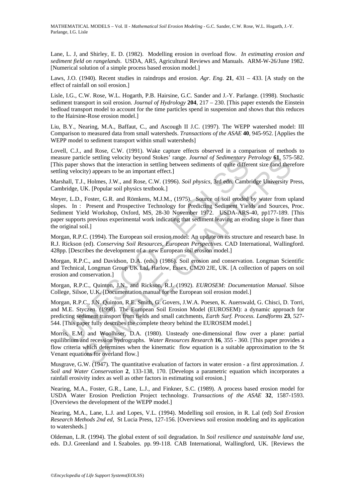Lane, L. J, and Shirley, E. D. (1982). Modelling erosion in overload flow. *In estimating erosion and sediment field on rangelands*. USDA, AR5, Agricultural Reviews and Manuals. ARM-W-26/June 1982. [Numerical solution of a simple process based erosion model.]

Laws, J.O. (1940). Recent studies in raindrops and erosion. *Agr. Eng.* **21**, 431 – 433. [A study on the effect of rainfall on soil erosion.]

Lisle, I.G., C.W. Rose, W.L. Hogarth, P.B. Hairsine, G.C. Sander and J.-Y. Parlange. (1998). Stochastic sediment transport in soil erosion. *Journal of Hydrology* **204**, 217 – 230. [This paper extends the Einstein bedload transport model to account for the time particles spend in suspension and shows that this reduces to the Hairsine-Rose erosion model.]

Liu, B.Y., Nearing, M.A., Baffaut, C., and Ascough II J.C. (1997). The WEPP watershed model: III Comparison to measured data from small watersheds. *Transactions of the ASAE* **40**, 945-952. [Applies the WEPP model to sediment transport within small watersheds]

Lovell, C.J., and Rose, C.W. (1991). Wake capture effects observed in a comparison of methods to measure particle settling velocity beyond Stokes' range. *Journal of Sedimentary Petrology* **61**, 575-582. [This paper shows that the interaction in settling between sediments of quite different size (and therefore settling velocity) appears to be an important effect.]

Marshall, T.J., Holmes, J.W., and Rose, C.W. (1996). *Soil physics*, 3rd edn. Cambridge University Press, Cambridge, UK. [Popular soil physics textbook.]

iare particle settling velocity beyond Stokes' range. Journal of Sedimentary Parage is paper shows that the interaction in settling between sediments of quite differ mg velocity) appears to be an important effect.]<br>hall, T icle settling velocity beyond Stokes' range. *Journal of Sedimentary Petrology* 61, 575<br>close settling velocity beyond Stokes' range. *Journal of Sedimentary Petrology* 61, 575<br>ity) appears to be an important effect.]<br>... Meyer, L.D., Foster, G.R. and Römkens, M.J.M., (1975). Source of soil eroded by water from upland slopes. In : Present and Prospective Technology for Predicting Sediment Yields and Sources, Proc. Sediment Yield Workshop, Oxford, MS, 28-30 November 1972. USDA-ARS-40, pp177-189. [This paper supports previous experimental work indicating that sediment leaving an eroding slope is finer than the original soil.]

Morgan, R.P.C. (1994). The European soil erosion model: An update on its structure and research base. In R.J. Rickson (ed). *Conserving Soil Resources, European Perspectives.* CAD International, Wallingford. 428pp. [Describes the development of a new European soil erosion model.]

Morgan, R.P.C., and Davidson, D.A. (eds.) (1986). Soil erosion and conservation. Longman Scientific and Technical, Longman Group UK Ltd, Harlow, Essex, CM20 2JE, UK. [A collection of papers on soil erosion and conservation.]

Morgan, R.P.C., Quinton, J.N., and Rickson, R.J. (1992). *EUROSEM: Documentation Manual*. Silsoe College, Silsoe, U.K. [Documentation manual for the European soil erosion model.]

Morgan, R.P.C., J.N. Quinton, R.E. Smith, G. Govers, J.W.A. Poesen, K. Auerswald, G. Chisci, D. Torri, and M.E. Styczen. (1998). The European Soil Erosion Model (EUROSEM): a dynamic approach for predicting sediment transport from fields and small catchments*, Earth Surf. Process. Landforms* **23**, 527- 544. [This paper fully describes the complete theory behind the EUROSEM model.]

Morris, E.M. and Woolhiser, D.A. (1980). Unsteady one-dimensional flow over a plane: partial equilibrium and recession hydrographs. *Water Resources Research* **16**, 355 - 360. [This paper provides a flow criteria which determines when the kinematic flow equation is a suitable approximation to the St Venant equations for overland flow.]

Musgrave, G.W. (1947). The quantitative evaluation of factors in water erosion - a first approximation. *J. Soil and Water Conservation* **2**, 133-138, 170. [Develops a parametric equation which incorporates a rainfall erosivity index as well as other factors in estimating soil erosion.]

Nearing, M.A., Foster, G.R., Lane, L.J., and Finkner, S.C. (1989). A process based erosion model for USDA Water Erosion Prediction Project technology. *Transactions of the ASAE* **32**, 1587-1593. [Overviews the development of the WEPP model.]

Nearing, M.A., Lane, L.J. and Lopes, V.L. (1994). Modelling soil erosion, in R. Lal (ed) *Soil Erosion Research Methods 2nd ed*, St Lucia Press, 127-156. [Overviews soil erosion modeling and its application to watersheds.]

Oldeman, L.R. (1994). The global extent of soil degradation. In *Soil resilience and sustainable land use*, eds. D.J. Greenland and I. Szaboles. pp. 99-118. CAB International, Wallingford, UK. [Reviews the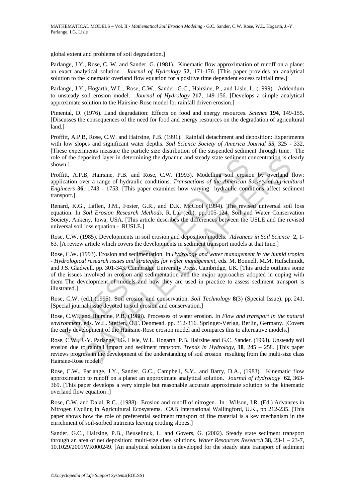global extent and problems of soil degradation.]

Parlange, J.Y., Rose, C. W. and Sander, G. (1981). Kinematic flow approximation of runoff on a plane: an exact analytical solution*. Journal of Hydrology* **52**, 171-176. [This paper provides an analytical solution to the kinematic overland flow equation for a positive time dependent excess rainfall rate.]

Parlange, J.Y., Hogarth, W.L., Rose, C.W., Sander, G.C., Hairsine, P., and Lisle, I., (1999). Addendum to unsteady soil erosion model. *Journal of Hydrology* **217**, 149-156. [Develops a simple analytical approximate solution to the Hairsine-Rose model for rainfall driven erosion.]

Pimental, D. (1976). Land degradation: Effects on food and energy resources. *Science* **194**, 149-155. [Discusses the consequences of the need for food and energy resources on the degradation of agricultural land.]

Proffitt, A.P.B, Rose, C.W. and Hairsine, P.B. (1991). Rainfall detachment and deposition: Experiments with low slopes and significant water depths. *Soil Science Society of America Journal* **55**, 325 - 332. [These experiments measure the particle size distribution of the suspended sediment through time. The role of the deposited layer in determining the dynamic and steady state sediment concentration is clearly shown.]

Proffitt, A.P.B, Hairsine, P.B. and Rose, C.W. (1993). Modelling soil erosion by overland flow: application over a range of hydraulic conditions. *Transactions of the American Society of Agricultural Engineers* **36**, 1743 - 1753. [This paper examines how varying hydraulic conditions affect sediment transport.]

Renard, K.G., Laflen, J.M., Foster, G.R., and D.K. McCool (1994). The revised universal soil loss equation. In *Soil Erosion Research Methods*, R. Lal (ed.). pp. 105-124. Soil and Water Conservation Society, Ankeny, Iowa, USA. [This article describes the differences between the USLE and the revised universal soil loss equation - RUSLE.]

Rose, C.W. (1985). Developments in soil erosion and deposition models. *Advances in Soil Science* **2,** 1- 63. [A review article which covers the developments in sediment transport models at that time.]

n.]<br>
The deposited layer in determining the dynamic and steady state sediment cm.<br>
Thit, A.P.B, Hairsine, P.B. and Rose, C.W. (1993). Modelling soil erosic<br>
ration over a range of hydraulic conditions. *Transactions of the* posited layer in determining the dynamic and steady state sediment concentration is cl.<br>B. Hairsine, P.B. and Rose, C.W. (1993). Modelling soil erosion by overland<br>ver a range of hydraulic conditions. *Transactions of the* Rose, C.W. (1993). Erosion and sedimentation. In *Hydrology and water management in the humid tropics - Hydrological research issues and strategies for water management*, eds. M. Bonnell, M.M. Hufschmidt, and J.S. Gladwell. pp. 301-343. Cambridge University Press, Cambridge, UK. [This article outlines some of the issues involved in erosion and sedimentation and the major approaches adopted in coping with them The development of models and how they are used in practice to assess sediment transport is illustrated.]

Rose, C.W. (ed.) (1995). Soil erosion and conservation. *Soil Technology* **8**(3) (Special Issue). pp. 241. [Special journal issue devoted to soil erosion and conservation.]

Rose, C.W., and Hairsine, P.B. (1988). Processes of water erosion. In *Flow and transport in the natural environment*, eds. W.L. Steffen, O.T. Denmead. pp. 312-316. Springer-Verlag, Berlin, Germany. [Covers the early development of the Hairsine-Rose erosion model and compares this to alternative models.]

Rose, C.W., J.-Y. Parlange, I.G. Lisle, W.L. Hogarth, P.B. Hairsine and G.C. Sander. (1998). Unsteady soil erosion due to rainfall impact and sediment transport. *Trends in Hydrology*, **18**, 245 – 258. [This paper reviews progress in the development of the understanding of soil erosion resulting from the multi-size class Hairsine-Rose model.]

Rose, C.W., Parlange, J.Y., Sander, G.C., Campbell, S.Y., and Barry, D.A., (1983). Kinematic flow approximation to runoff on a plane: an approximate analytical solution. *Journal of Hydrology* **62**, 363- 369. [This paper develops a very simple but reasonable accurate approximate solution to the kinematic overland flow equation .]

Rose, C.W. and Dalal, R.C., (1988). Erosion and runoff of nitrogen. In : Wilson, J.R. (Ed.) Advances in Nitrogen Cycling in Agricultural Ecosystems. CAB International Wallingford, U.K., pp 212-235. [This paper shows how the role of preferential sediment transport of fine material is a key mechanism in the enrichment of soil-sorbed nutrients leaving eroding slopes.]

Sander, G.C., Hairsine, P.B., Beuselinck, L. and Govers, G. (2002). Steady state sediment transport through an area of net deposition: multi-size class solutions*. Water Resources Research* **38**, 23-1 – 23-7, 10.1029/2001WR000249. [An analytical solution is developed for the steady state transport of sediment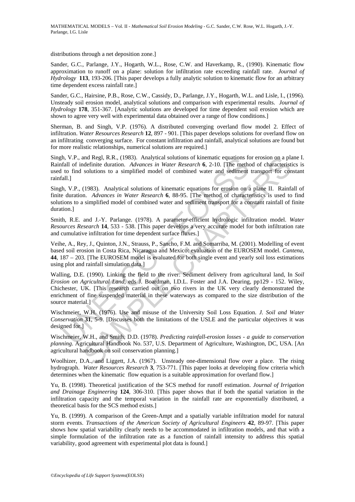distributions through a net deposition zone.]

Sander, G.C., Parlange, J.Y., Hogarth, W.L., Rose, C.W. and Haverkamp, R., (1990). Kinematic flow approximation to runoff on a plane: solution for infiltration rate exceeding rainfall rate. *Journal of Hydrology* **113**, 193-206. [This paper develops a fully analytic solution to kinematic flow for an arbitrary time dependent excess rainfall rate.]

Sander, G.C., Hairsine, P.B., Rose, C.W., Cassidy, D., Parlange, J.Y., Hogarth, W.L. and Lisle, I., (1996). Unsteady soil erosion model, analytical solutions and comparison with experimental results. *Journal of Hydrology* **178**, 351-367. [Analytic solutions are developed for time dependent soil erosion which are shown to agree very well with experimental data obtained over a range of flow conditions.]

Sherman, B. and Singh, V.P. (1976). A distributed converging overland flow model 2. Effect of infiltration. *Water Resources Research* **12**, 897 - 901. [This paper develops solutions for overland flow on an infiltrating converging surface. For constant infiltration and rainfall, analytical solutions are found but for more realistic relationships, numerical solutions are required.]

Singh, V.P., and Regl, R.R., (1983). Analytical solutions of kinematic equations for erosion on a plane I. Rainfall of indefinite duration. *Advances in Water Research* **6**, 2-10. [The method of characteristics is used to find solutions to a simplified model of combined water and sediment transport for constant rainfall.]

Singh, V.P., (1983). Analytical solutions of kinematic equations for erosion on a plane II. Rainfall of finite duration. *Advances in Water Research* **6**, 88-95. [The method of characteristics is used to find solutions to a simplified model of combined water and sediment transport for a constant rainfall of finite duration.]

Smith, R.E. and J.-Y. Parlange. (1978). A parameter-efficient hydrologic infiltration model. *Water Resources Research* **14**, 533 - 538. [This paper develops a very accurate model for both infiltration rate and cumulative infiltration for time dependent surface fluxes.]

Veihe, A., Rey, J., Quinton, J.N., Strauss, P., Sancho, F.M. and Somarriba, M. (2001). Modelling of event based soil erosion in Costa Rica, Nicaragua and Mexico: evaluation of the EUROSEM model. *Cantena*, **44**, 187 – 203. [The EUROSEM model is evaluated for both single event and yearly soil loss estimations using plot and rainfall simulation data.]

In, V.P., and Reg. R.K., (1985). Analytical solutions of kinematic equations Is<br>fall of indefinite duration. *Advances in Water Research* 6, 2-10. [The meth-<br>to find solutions to a simplified model of combined water and se and Reg. R.R. (1983). Analytical solutions of kinematic equations for ensign and Reg. R.R. (1983). Analytical solutions of kinematic equations for ensignent transport for condinate attactions to a simplified model of combi Walling, D.E. (1990). Linking the field to the river: Sediment delivery from agricultural land, In *Soil Erosion on Agricultural Land*, eds J. Boardman, I.D.L. Foster and J.A. Dearing, pp129 - 152. Wiley, Chichester, UK. [This research carried out on two rivers in the UK very clearly demonstrated the enrichment of fine suspended material in these waterways as compared to the size distribution of the source material.]

Wischmeier, W.H. (1976). Use and misuse of the University Soil Loss Equation. *J. Soil and Water Conservation* **31**, 5-9. [Discusses both the limitations of the USLE and the particular objectives it was designed for.]

Wischmeier, W.H., and Smith, D.D. (1978). *Predicting rainfall-erosion losses - a guide to conservation planning*. Agricultural Handbook No. 537, U.S. Department of Agriculture, Washington, DC, USA. [An agricultural handbook on soil conservation planning.]

Woolhizer, D.A., and Liggett, J.A. (1967). Unsteady one-dimensional flow over a place. The rising hydrograph. *Water Resources Research* **3**, 753-771. [This paper looks at developing flow criteria which determines when the kinematic flow equation is a suitable approximation for overland flow.]

Yu, B. (1998). Theoretical justification of the SCS method for runoff estimation. *Journal of Irrigation and Drainage Engineering* **124**, 306-310. [This paper shows that if both the spatial variation in the infiltration capacity and the temporal variation in the rainfall rate are exponentially distributed, a theoretical basis for the SCS method exists.]

Yu, B. (1999). A comparison of the Green-Ampt and a spatially variable infiltration model for natural storm events. *Transactions of the American Society of Agricultural Engineers* **42**, 89-97. [This paper shows how spatial variability clearly needs to be accommodated in infiltration models, and that with a simple formulation of the infiltration rate as a function of rainfall intensity to address this spatial variability, good agreement with experimental plot data is found.]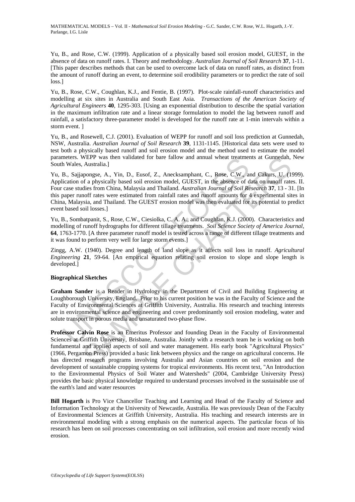Yu, B., and Rose, C.W. (1999). Application of a physically based soil erosion model, GUEST, in the absence of data on runoff rates. I. Theory and methodology. *Australian Journal of Soil Research* **37**, 1-11. [This paper describes methods that can be used to overcome lack of data on runoff rates, as distinct from the amount of runoff during an event, to determine soil erodibility parameters or to predict the rate of soil loss.]

Yu, B., Rose, C.W., Coughlan, K.J., and Fentie, B. (1997). Plot-scale rainfall-runoff characteristics and modelling at six sites in Australia and South East Asia. *Transactions of the American Society of Agricultural Engineers* **40**, 1295-303. [Using an exponential distribution to describe the spatial variation in the maximum infiltration rate and a linear storage formulation to model the lag between runoff and rainfall, a satisfactory three-parameter model is developed for the runoff rate at 1-min intervals within a storm event. ]

Yu, B., and Rosewell, C.J. (2001). Evaluation of WEPP for runoff and soil loss prediction at Gunnedah, NSW, Australia. *Australian Journal of Soil Research* **39**, 1131-1145. [Historical data sets were used to test both a physically based runoff and soil erosion model and the method used to estimate the model parameters. WEPP was then validated for bare fallow and annual wheat treatments at Gunnedah, New South Wales, Australia.]

meters. WEPP was then validated for bare tailow and annual wheat treatments. WEPP was then validated for bare tailow and annual wheat treatments. B., Saijapongse, A., Yin, D., Eusof, Z., Anecksamphant, C., Rose, C.W., a<br>ic WEPP was then validated for bare fallow and annual wheat treatments at Giunnedah,<br>Marstralia.]<br>
Anorsevas then Valida Society and CalleST, in the absence of data on unoff ratches<br>
propagse, A., Yin, D., Eusof, Z., Anccksam Yu, B., Sajjapongse, A., Yin, D., Eusof, Z., Anecksamphant, C., Rose, C.W., and Cakurs, U. (1999). Application of a physically based soil erosion model, GUEST, in the absence of data on runoff rates. II. Four case studies from China, Malaysia and Thailand. *Australian Journal of Soil Research* **37**, 13 - 31. [In this paper runoff rates were estimated from rainfall rates and runoff amounts for 4 experimental sites in China, Malaysia, and Thailand. The GUEST erosion model was then evaluated for its potential to predict event based soil losses.]

Yu, B., Sombatpanit, S., Rose, C.W., Ciesiolka, C. A. A., and Coughlan, K.J. (2000). Characteristics and modelling of runoff hydrographs for different tillage treatments. *Soil Science Society of America Journal,*  **64**, 1763-1770. [A three parameter runoff model is tested across a range of different tillage treatments and it was found to perform very well for large storm events.]

Zingg, A.W. (1940). Degree and length of land slope as it affects soil loss in runoff. *Agricultural Engineering* **21**, 59-64. [An empirical equation relating soil erosion to slope and slope length is developed.]

#### **Biographical Sketches**

**Graham Sander** is a Reader in Hydrology in the Department of Civil and Building Engineering at Loughborough University, England. Prior to his current position he was in the Faculty of Science and the Faculty of Environmental Sciences at Griffith University, Australia. His research and teaching interests are in environmental science and engineering and cover predominantly soil erosion modeling, water and solute transport in porous media and unsaturated two-phase flow.

**Professor Calvin Rose** is an Emeritus Professor and founding Dean in the Faculty of Environmental Sciences at Griffith University, Brisbane, Australia. Jointly with a research team he is working on both fundamental and applied aspects of soil and water management. His early book "Agricultural Physics" (1966, Pergamon Press) provided a basic link between physics and the range on agricultural concerns. He has directed research programs involving Australia and Asian countries on soil erosion and the development of sustainable cropping systems for tropical environments. His recent text, "An Introduction to the Environmental Physics of Soil Water and Watersheds" (2004, Cambridge University Press) provides the basic physical knowledge required to understand processes involved in the sustainable use of the earth's land and water resources

**Bill Hogarth** is Pro Vice Chancellor Teaching and Learning and Head of the Faculty of Science and Information Technology at the University of Newcastle, Australia. He was previously Dean of the Faculty of Environmental Sciences at Griffith University, Australia. His teaching and research interests are in environmental modeling with a strong emphasis on the numerical aspects. The particular focus of his research has been on soil processes concentrating on soil infiltration, soil erosion and more recently wind erosion.